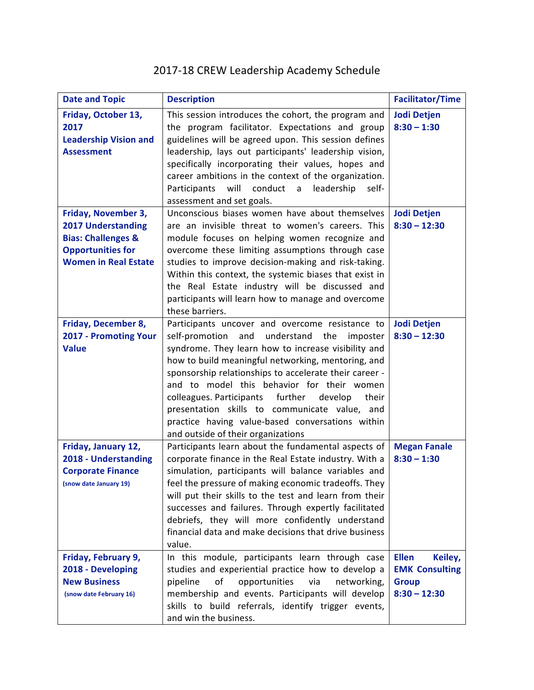## 2017-18 CREW Leadership Academy Schedule

| <b>Date and Topic</b>                                                                                                                        | <b>Description</b>                                                                                                                                                                                                                                                                                                                                                                                                                                                                                                          | <b>Facilitator/Time</b>                                                            |
|----------------------------------------------------------------------------------------------------------------------------------------------|-----------------------------------------------------------------------------------------------------------------------------------------------------------------------------------------------------------------------------------------------------------------------------------------------------------------------------------------------------------------------------------------------------------------------------------------------------------------------------------------------------------------------------|------------------------------------------------------------------------------------|
| Friday, October 13,<br>2017<br><b>Leadership Vision and</b><br><b>Assessment</b>                                                             | This session introduces the cohort, the program and<br>the program facilitator. Expectations and group<br>guidelines will be agreed upon. This session defines<br>leadership, lays out participants' leadership vision,<br>specifically incorporating their values, hopes and<br>career ambitions in the context of the organization.<br>Participants<br>will<br>conduct a<br>leadership<br>self-<br>assessment and set goals.                                                                                              | <b>Jodi Detjen</b><br>$8:30 - 1:30$                                                |
| Friday, November 3,<br><b>2017 Understanding</b><br><b>Bias: Challenges &amp;</b><br><b>Opportunities for</b><br><b>Women in Real Estate</b> | Unconscious biases women have about themselves<br>are an invisible threat to women's careers. This<br>module focuses on helping women recognize and<br>overcome these limiting assumptions through case<br>studies to improve decision-making and risk-taking.<br>Within this context, the systemic biases that exist in<br>the Real Estate industry will be discussed and<br>participants will learn how to manage and overcome<br>these barriers.                                                                         | <b>Jodi Detjen</b><br>$8:30 - 12:30$                                               |
| Friday, December 8,<br>2017 - Promoting Your<br><b>Value</b>                                                                                 | Participants uncover and overcome resistance to<br>self-promotion<br>and understand the<br>imposter<br>syndrome. They learn how to increase visibility and<br>how to build meaningful networking, mentoring, and<br>sponsorship relationships to accelerate their career -<br>and to model this behavior for their women<br>colleagues. Participants further<br>develop<br>their<br>presentation skills to communicate value, and<br>practice having value-based conversations within<br>and outside of their organizations | <b>Jodi Detjen</b><br>$8:30 - 12:30$                                               |
| Friday, January 12,<br>2018 - Understanding<br><b>Corporate Finance</b><br>(snow date January 19)                                            | Participants learn about the fundamental aspects of<br>corporate finance in the Real Estate industry. With a<br>simulation, participants will balance variables and<br>feel the pressure of making economic tradeoffs. They<br>will put their skills to the test and learn from their<br>successes and failures. Through expertly facilitated<br>debriefs, they will more confidently understand<br>financial data and make decisions that drive business<br>value.                                                         | <b>Megan Fanale</b><br>$8:30 - 1:30$                                               |
| Friday, February 9,<br>2018 - Developing<br><b>New Business</b><br>(snow date February 16)                                                   | In this module, participants learn through case<br>studies and experiential practice how to develop a<br>of<br>pipeline<br>opportunities<br>via<br>networking,<br>membership and events. Participants will develop<br>skills to build referrals, identify trigger events,<br>and win the business.                                                                                                                                                                                                                          | <b>Ellen</b><br>Keiley,<br><b>EMK Consulting</b><br><b>Group</b><br>$8:30 - 12:30$ |